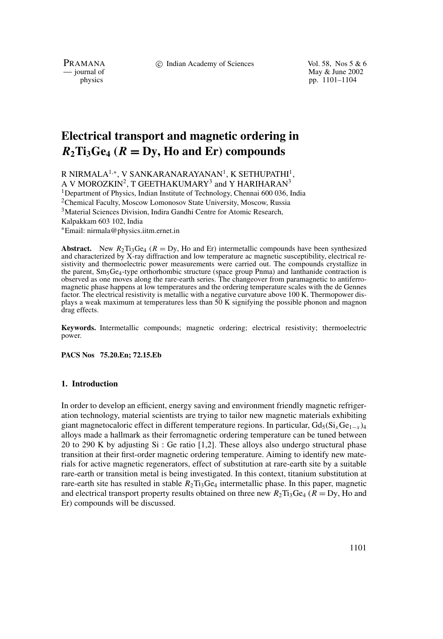PRAMANA C Indian Academy of Sciences Vol. 58, Nos 5 & 6<br>
— journal of May & June 2002 May & June 2002 physics pp. 1101–1104

# **Electrical transport and magnetic ordering in**  $R_2$ Ti<sub>3</sub>Ge<sub>4</sub> ( $R = Dv$ , Ho and Er) compounds

R NIRMALA1*,*∗, V SANKARANARAYANAN1, K SETHUPATHI1, A V MOROZKIN<sup>2</sup>, T GEETHAKUMARY<sup>3</sup> and Y HARIHARAN<sup>3</sup>

<sup>1</sup>Department of Physics, Indian Institute of Technology, Chennai 600 036, India 2Chemical Faculty, Moscow Lomonosov State University, Moscow, Russia

3Material Sciences Division, Indira Gandhi Centre for Atomic Research,

Kalpakkam 603 102, India

∗Email: nirmala@physics.iitm.ernet.in

**Abstract.** New  $R_2$ Ti<sub>3</sub>Ge<sub>4</sub> ( $R = Dy$ , Ho and Er) intermetallic compounds have been synthesized and characterized by X-ray diffraction and low temperature ac magnetic susceptibility, electrical resistivity and thermoelectric power measurements were carried out. The compounds crystallize in the parent, Sm5Ge4-type orthorhombic structure (space group Pnma) and lanthanide contraction is observed as one moves along the rare-earth series. The changeover from paramagnetic to antiferromagnetic phase happens at low temperatures and the ordering temperature scales with the de Gennes factor. The electrical resistivity is metallic with a negative curvature above 100 K. Thermopower displays a weak maximum at temperatures less than 50 K signifying the possible phonon and magnon drag effects.

**Keywords.** Intermetallic compounds; magnetic ordering; electrical resistivity; thermoelectric power.

**PACS Nos 75.20.En; 72.15.Eb**

#### **1. Introduction**

In order to develop an efficient, energy saving and environment friendly magnetic refrigeration technology, material scientists are trying to tailor new magnetic materials exhibiting giant magnetocaloric effect in different temperature regions. In particular,  $Gd_5(Si_xGe_{1-x})_4$ alloys made a hallmark as their ferromagnetic ordering temperature can be tuned between 20 to 290 K by adjusting Si : Ge ratio [1,2]. These alloys also undergo structural phase transition at their first-order magnetic ordering temperature. Aiming to identify new materials for active magnetic regenerators, effect of substitution at rare-earth site by a suitable rare-earth or transition metal is being investigated. In this context, titanium substitution at rare-earth site has resulted in stable  $R_2$ Ti<sub>3</sub>Ge<sub>4</sub> intermetallic phase. In this paper, magnetic and electrical transport property results obtained on three new  $R_2$ Ti<sub>3</sub>Ge<sub>4</sub> ( $R = Dy$ , Ho and Er) compounds will be discussed.

1101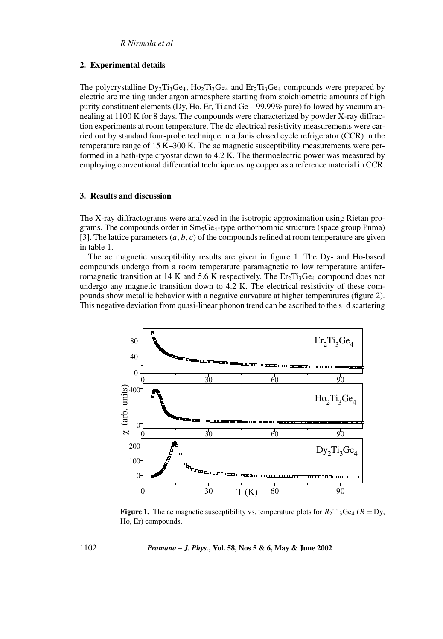#### **2. Experimental details**

The polycrystalline  $D_yT_{13}Ge_4$ ,  $H_{02}Ti_3Ge_4$  and  $Er_2Ti_3Ge_4$  compounds were prepared by electric arc melting under argon atmosphere starting from stoichiometric amounts of high purity constituent elements (Dy, Ho, Er, Ti and Ge – 99.99% pure) followed by vacuum annealing at 1100 K for 8 days. The compounds were characterized by powder X-ray diffraction experiments at room temperature. The dc electrical resistivity measurements were carried out by standard four-probe technique in a Janis closed cycle refrigerator (CCR) in the temperature range of 15 K–300 K. The ac magnetic susceptibility measurements were performed in a bath-type cryostat down to 4.2 K. The thermoelectric power was measured by employing conventional differential technique using copper as a reference material in CCR.

#### **3. Results and discussion**

The X-ray diffractograms were analyzed in the isotropic approximation using Rietan programs. The compounds order in  $Sm<sub>5</sub>Ge<sub>4</sub>$ -type orthorhombic structure (space group Pnma) [3]. The lattice parameters  $(a, b, c)$  of the compounds refined at room temperature are given in table 1.

The ac magnetic susceptibility results are given in figure 1. The Dy- and Ho-based compounds undergo from a room temperature paramagnetic to low temperature antiferromagnetic transition at 14 K and 5.6 K respectively. The  $Er_2Ti_3Ge_4$  compound does not undergo any magnetic transition down to 4.2 K. The electrical resistivity of these compounds show metallic behavior with a negative curvature at higher temperatures (figure 2). This negative deviation from quasi-linear phonon trend can be ascribed to the s–d scattering



**Figure 1.** The ac magnetic susceptibility vs. temperature plots for  $R_2$ Ti<sub>3</sub>Ge<sub>4</sub> ( $R = Dy$ , Ho, Er) compounds.

1102 *Pramana – J. Phys.***, Vol. 58, Nos 5 & 6, May & June 2002**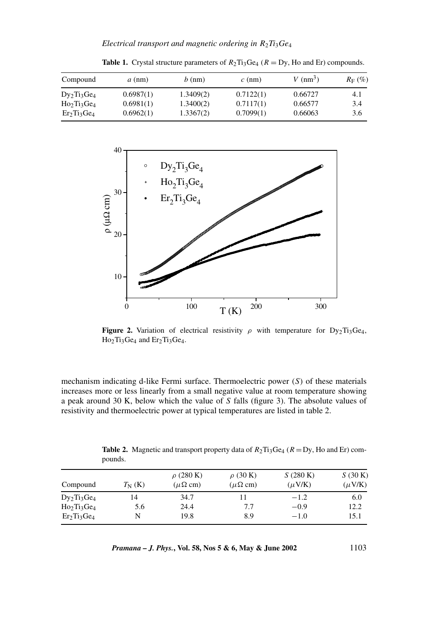*Electrical transport and magnetic ordering in R*2*Ti*3*Ge*<sup>4</sup>

| Compound       | $a$ (nm)  | $b$ (nm)  | $c$ (nm)  | $V$ (nm <sup>3</sup> ) | $R_{\rm F}$ (%) |
|----------------|-----------|-----------|-----------|------------------------|-----------------|
| $Dy_2Ti_3Ge_4$ | 0.6987(1) | 1.3409(2) | 0.7122(1) | 0.66727                | 4.1             |
| $Ho_2Ti_3Ge_4$ | 0.6981(1) | 1.3400(2) | 0.7117(1) | 0.66577                | 3.4             |
| $Er2Ti3Ge4$    | 0.6962(1) | 1.3367(2) | 0.7099(1) | 0.66063                | 3.6             |

**Table 1.** Crystal structure parameters of  $R_2$ Ti<sub>3</sub>Ge<sub>4</sub> ( $R = Dy$ , Ho and Er) compounds.



**Figure 2.** Variation of electrical resistivity  $\rho$  with temperature for Dy<sub>2</sub>Ti<sub>3</sub>Ge<sub>4</sub>,  $Ho<sub>2</sub>Ti<sub>3</sub>Ge<sub>4</sub>$  and  $Er<sub>2</sub>Ti<sub>3</sub>Ge<sub>4</sub>$ .

mechanism indicating d-like Fermi surface. Thermoelectric power *(S)* of these materials increases more or less linearly from a small negative value at room temperature showing a peak around 30 K, below which the value of *S* falls (figure 3). The absolute values of resistivity and thermoelectric power at typical temperatures are listed in table 2.

| Compound       | $T_N$ (K) | $\rho$ (280 K)<br>$(\mu \Omega \text{ cm})$ | $\rho$ (30 K)<br>$(\mu \Omega \text{ cm})$ | S(280 K)<br>$(\mu$ V/K) | S(30K)<br>$(\mu$ V/K) |
|----------------|-----------|---------------------------------------------|--------------------------------------------|-------------------------|-----------------------|
| $Dy_2Ti_3Ge_4$ | 14        | 34.7                                        | 11                                         | $-1.2$                  | 6.0                   |
| $Ho_2Ti_3Ge_4$ | 5.6       | 24.4                                        | 7.7                                        | $-0.9$                  | 12.2                  |
| $Er_2Ti_3Ge_4$ | N         | 19.8                                        | 8.9                                        | $-1.0$                  | 15.1                  |

**Table 2.** Magnetic and transport property data of  $R_2$ Ti<sub>3</sub>Ge<sub>4</sub> ( $R = Dy$ , Ho and Er) compounds.

| <i>Pramana – J. Phys.</i> , Vol. 58, Nos 5 & 6, May & June 2002 | 1103 |
|-----------------------------------------------------------------|------|
|-----------------------------------------------------------------|------|